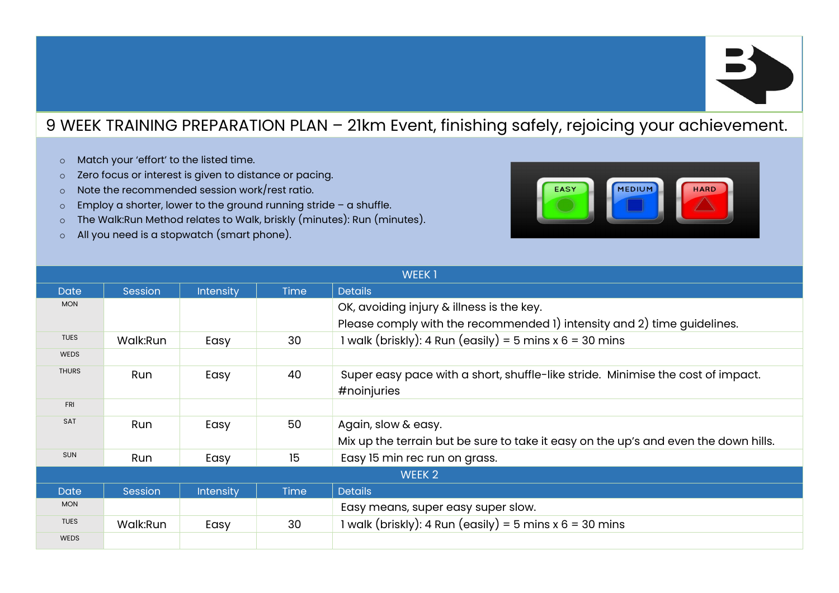

## 9 WEEK TRAINING PREPARATION PLAN – 21km Event, finishing safely, rejoicing your achievement.

- o Match your 'effort' to the listed time.
- o Zero focus or interest is given to distance or pacing.
- o Note the recommended session work/rest ratio.
- $\circ$  Employ a shorter, lower to the ground running stride a shuffle.
- o The Walk:Run Method relates to Walk, briskly (minutes): Run (minutes).
- o All you need is a stopwatch (smart phone).



| <b>WEEK1</b> |            |                  |             |                                                                                     |  |
|--------------|------------|------------------|-------------|-------------------------------------------------------------------------------------|--|
| <b>Date</b>  | Session    | <b>Intensity</b> | <b>Time</b> | <b>Details</b>                                                                      |  |
| <b>MON</b>   |            |                  |             | OK, avoiding injury & illness is the key.                                           |  |
|              |            |                  |             | Please comply with the recommended 1) intensity and 2) time guidelines.             |  |
| <b>TUES</b>  | Walk:Run   | Easy             | 30          | 1 walk (briskly): 4 Run (easily) = 5 mins x $6 = 30$ mins                           |  |
| <b>WEDS</b>  |            |                  |             |                                                                                     |  |
| <b>THURS</b> | <b>Run</b> | Easy             | 40          | Super easy pace with a short, shuffle-like stride. Minimise the cost of impact.     |  |
|              |            |                  |             | #noinjuries                                                                         |  |
| <b>FRI</b>   |            |                  |             |                                                                                     |  |
| <b>SAT</b>   | Run        | Easy             | 50          | Again, slow & easy.                                                                 |  |
|              |            |                  |             | Mix up the terrain but be sure to take it easy on the up's and even the down hills. |  |
| <b>SUN</b>   | Run        | Easy             | 15          | Easy 15 min rec run on grass.                                                       |  |
| WEEK 2       |            |                  |             |                                                                                     |  |
| <b>Date</b>  | Session    | <b>Intensity</b> | <b>Time</b> | <b>Details</b>                                                                      |  |
| <b>MON</b>   |            |                  |             | Easy means, super easy super slow.                                                  |  |
| <b>TUES</b>  | Walk:Run   | Easy             | 30          | 1 walk (briskly): 4 Run (easily) = 5 mins $x 6 = 30$ mins                           |  |
| <b>WEDS</b>  |            |                  |             |                                                                                     |  |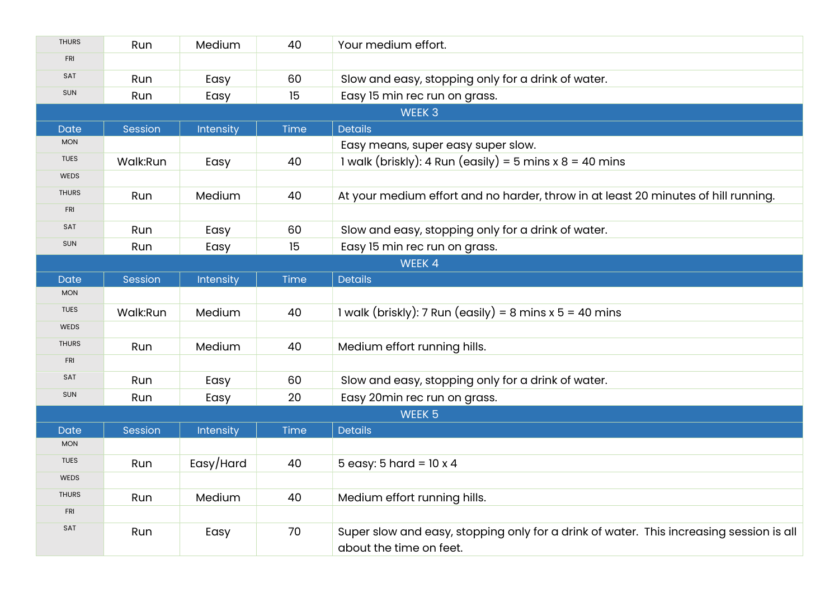| <b>THURS</b>      | Run      | Medium    | 40   | Your medium effort.                                                                                                |  |  |
|-------------------|----------|-----------|------|--------------------------------------------------------------------------------------------------------------------|--|--|
| <b>FRI</b>        |          |           |      |                                                                                                                    |  |  |
| SAT               | Run      | Easy      | 60   | Slow and easy, stopping only for a drink of water.                                                                 |  |  |
| <b>SUN</b>        | Run      | Easy      | 15   | Easy 15 min rec run on grass.                                                                                      |  |  |
|                   | WEEK 3   |           |      |                                                                                                                    |  |  |
| <b>Date</b>       | Session  | Intensity | Time | <b>Details</b>                                                                                                     |  |  |
| <b>MON</b>        |          |           |      | Easy means, super easy super slow.                                                                                 |  |  |
| <b>TUES</b>       | Walk:Run | Easy      | 40   | 1 walk (briskly): 4 Run (easily) = 5 mins x $8 = 40$ mins                                                          |  |  |
| <b>WEDS</b>       |          |           |      |                                                                                                                    |  |  |
| <b>THURS</b>      | Run      | Medium    | 40   | At your medium effort and no harder, throw in at least 20 minutes of hill running.                                 |  |  |
| <b>FRI</b>        |          |           |      |                                                                                                                    |  |  |
| SAT               | Run      | Easy      | 60   | Slow and easy, stopping only for a drink of water.                                                                 |  |  |
| <b>SUN</b>        | Run      | Easy      | 15   | Easy 15 min rec run on grass.                                                                                      |  |  |
|                   |          |           |      | WEEK 4                                                                                                             |  |  |
| <b>Date</b>       | Session  | Intensity | Time | <b>Details</b>                                                                                                     |  |  |
| <b>MON</b>        |          |           |      |                                                                                                                    |  |  |
| <b>TUES</b>       | Walk:Run | Medium    | 40   | 1 walk (briskly): 7 Run (easily) = 8 mins x $5 = 40$ mins                                                          |  |  |
| WEDS              |          |           |      |                                                                                                                    |  |  |
| <b>THURS</b>      | Run      | Medium    | 40   | Medium effort running hills.                                                                                       |  |  |
| <b>FRI</b>        |          |           |      |                                                                                                                    |  |  |
| SAT               | Run      | Easy      | 60   | Slow and easy, stopping only for a drink of water.                                                                 |  |  |
| <b>SUN</b>        | Run      | Easy      | 20   | Easy 20min rec run on grass.                                                                                       |  |  |
| WEEK <sub>5</sub> |          |           |      |                                                                                                                    |  |  |
| <b>Date</b>       | Session  | Intensity | Time | <b>Details</b>                                                                                                     |  |  |
| <b>MON</b>        |          |           |      |                                                                                                                    |  |  |
| <b>TUES</b>       | Run      | Easy/Hard | 40   | 5 easy: 5 hard = $10 \times 4$                                                                                     |  |  |
| <b>WEDS</b>       |          |           |      |                                                                                                                    |  |  |
| <b>THURS</b>      | Run      | Medium    | 40   | Medium effort running hills.                                                                                       |  |  |
| <b>FRI</b>        |          |           |      |                                                                                                                    |  |  |
| SAT               | Run      | Easy      | 70   | Super slow and easy, stopping only for a drink of water. This increasing session is all<br>about the time on feet. |  |  |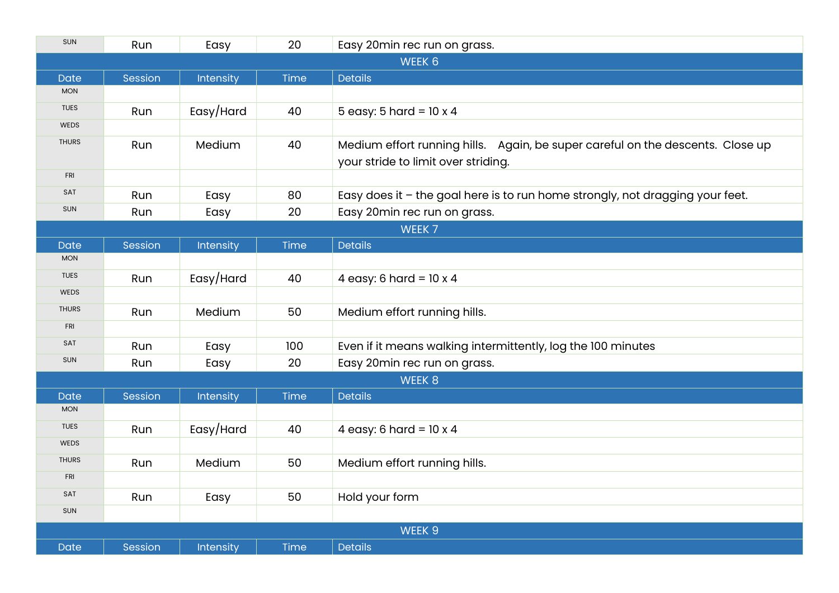| SUN          | Run     | Easy      | 20          | Easy 20min rec run on grass.                                                                                           |  |  |
|--------------|---------|-----------|-------------|------------------------------------------------------------------------------------------------------------------------|--|--|
| WEEK 6       |         |           |             |                                                                                                                        |  |  |
| Date         | Session | Intensity | <b>Time</b> | <b>Details</b>                                                                                                         |  |  |
| <b>MON</b>   |         |           |             |                                                                                                                        |  |  |
| <b>TUES</b>  | Run     | Easy/Hard | 40          | 5 easy: 5 hard = $10 \times 4$                                                                                         |  |  |
| <b>WEDS</b>  |         |           |             |                                                                                                                        |  |  |
| <b>THURS</b> | Run     | Medium    | 40          | Medium effort running hills.  Again, be super careful on the descents. Close up<br>your stride to limit over striding. |  |  |
| <b>FRI</b>   |         |           |             |                                                                                                                        |  |  |
| SAT          | Run     | Easy      | 80          | Easy does it - the goal here is to run home strongly, not dragging your feet.                                          |  |  |
| SUN          | Run     | Easy      | 20          | Easy 20min rec run on grass.                                                                                           |  |  |
|              | WEEK 7  |           |             |                                                                                                                        |  |  |
| <b>Date</b>  | Session | Intensity | Time        | <b>Details</b>                                                                                                         |  |  |
| <b>MON</b>   |         |           |             |                                                                                                                        |  |  |
| <b>TUES</b>  | Run     | Easy/Hard | 40          | 4 easy: 6 hard = $10 \times 4$                                                                                         |  |  |
| <b>WEDS</b>  |         |           |             |                                                                                                                        |  |  |
| <b>THURS</b> | Run     | Medium    | 50          | Medium effort running hills.                                                                                           |  |  |
| <b>FRI</b>   |         |           |             |                                                                                                                        |  |  |
| SAT          | Run     | Easy      | 100         | Even if it means walking intermittently, log the 100 minutes                                                           |  |  |
| <b>SUN</b>   | Run     | Easy      | 20          | Easy 20min rec run on grass.                                                                                           |  |  |
| WEEK 8       |         |           |             |                                                                                                                        |  |  |
| <b>Date</b>  | Session | Intensity | Time        | <b>Details</b>                                                                                                         |  |  |
| <b>MON</b>   |         |           |             |                                                                                                                        |  |  |
| <b>TUES</b>  | Run     | Easy/Hard | 40          | 4 easy: 6 hard = $10 \times 4$                                                                                         |  |  |
| <b>WEDS</b>  |         |           |             |                                                                                                                        |  |  |
| <b>THURS</b> | Run     | Medium    | 50          | Medium effort running hills.                                                                                           |  |  |
| <b>FRI</b>   |         |           |             |                                                                                                                        |  |  |
| SAT          | Run     | Easy      | 50          | Hold your form                                                                                                         |  |  |
| <b>SUN</b>   |         |           |             |                                                                                                                        |  |  |
| WEEK 9       |         |           |             |                                                                                                                        |  |  |
| Date         | Session | Intensity | Time        | <b>Details</b>                                                                                                         |  |  |